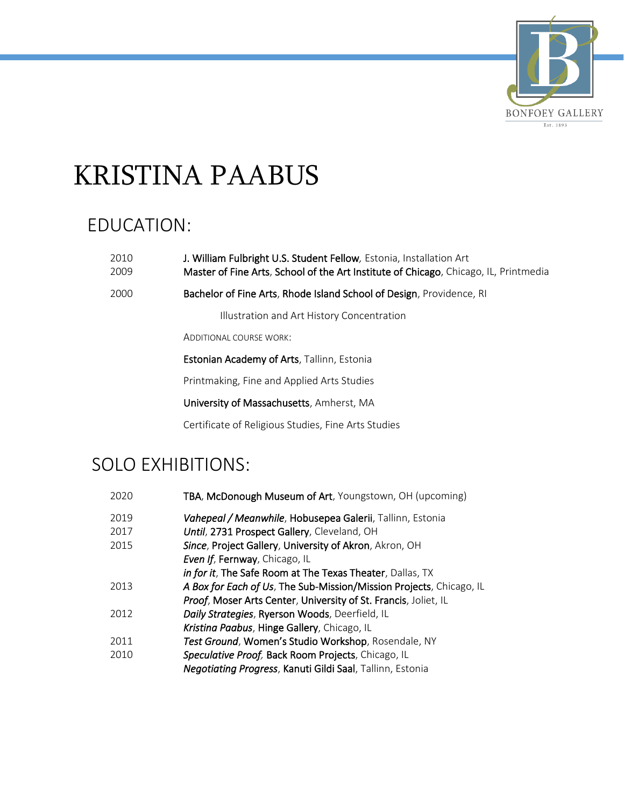

# KRISTINA PAABUS

#### EDUCATION:

| 2010 | J. William Fulbright U.S. Student Fellow, Estonia, Installation Art                  |
|------|--------------------------------------------------------------------------------------|
| 2009 | Master of Fine Arts, School of the Art Institute of Chicago, Chicago, IL, Printmedia |

2000 Bachelor of Fine Arts, Rhode Island School of Design, Providence, RI

Illustration and Art History Concentration

ADDITIONAL COURSE WORK:

Estonian Academy of Arts, Tallinn, Estonia

Printmaking, Fine and Applied Arts Studies

University of Massachusetts, Amherst, MA

Certificate of Religious Studies, Fine Arts Studies

#### SOLO EXHIBITIONS:

| 2020 | TBA, McDonough Museum of Art, Youngstown, OH (upcoming)             |
|------|---------------------------------------------------------------------|
| 2019 | Vahepeal / Meanwhile, Hobusepea Galerii, Tallinn, Estonia           |
| 2017 | Until, 2731 Prospect Gallery, Cleveland, OH                         |
| 2015 | Since, Project Gallery, University of Akron, Akron, OH              |
|      | Even If, Fernway, Chicago, IL                                       |
|      | in for it, The Safe Room at The Texas Theater, Dallas, TX           |
| 2013 | A Box for Each of Us, The Sub-Mission/Mission Projects, Chicago, IL |
|      | Proof, Moser Arts Center, University of St. Francis, Joliet, IL     |
| 2012 | Daily Strategies, Ryerson Woods, Deerfield, IL                      |
|      | Kristina Paabus, Hinge Gallery, Chicago, IL                         |
| 2011 | Test Ground, Women's Studio Workshop, Rosendale, NY                 |
| 2010 | Speculative Proof, Back Room Projects, Chicago, IL                  |
|      | Negotiating Progress, Kanuti Gildi Saal, Tallinn, Estonia           |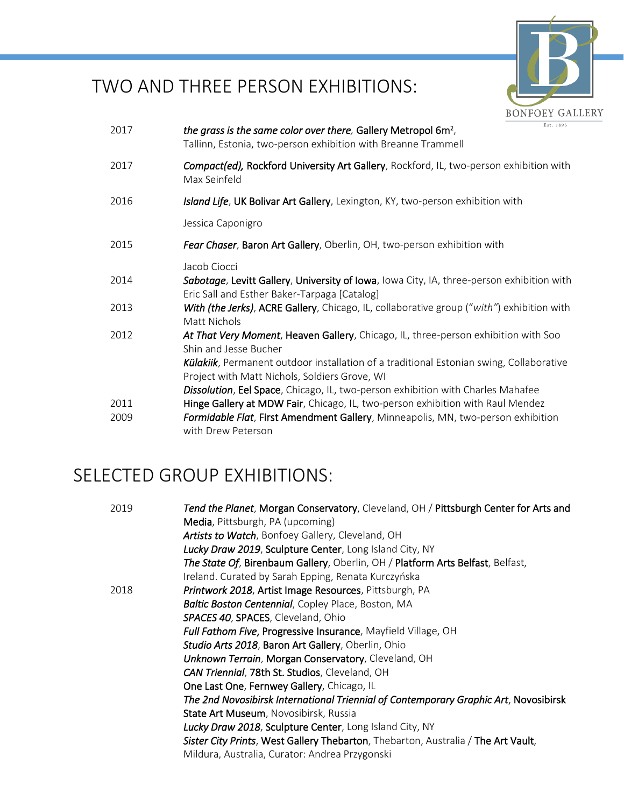

# TWO AND THREE PERSON EXHIBITIONS:

| 2017 | Est. 1893<br>the grass is the same color over there, Gallery Metropol 6m <sup>2</sup> ,<br>Tallinn, Estonia, two-person exhibition with Breanne Trammell  |
|------|-----------------------------------------------------------------------------------------------------------------------------------------------------------|
| 2017 | Compact(ed), Rockford University Art Gallery, Rockford, IL, two-person exhibition with<br>Max Seinfeld                                                    |
| 2016 | Island Life, UK Bolivar Art Gallery, Lexington, KY, two-person exhibition with                                                                            |
|      | Jessica Caponigro                                                                                                                                         |
| 2015 | Fear Chaser, Baron Art Gallery, Oberlin, OH, two-person exhibition with                                                                                   |
| 2014 | Jacob Ciocci<br>Sabotage, Levitt Gallery, University of Iowa, Iowa City, IA, three-person exhibition with<br>Eric Sall and Esther Baker-Tarpaga [Catalog] |
| 2013 | With (the Jerks), ACRE Gallery, Chicago, IL, collaborative group ("with") exhibition with<br>Matt Nichols                                                 |
| 2012 | At That Very Moment, Heaven Gallery, Chicago, IL, three-person exhibition with Soo<br>Shin and Jesse Bucher                                               |
|      | Külakiik, Permanent outdoor installation of a traditional Estonian swing, Collaborative<br>Project with Matt Nichols, Soldiers Grove, WI                  |
|      | Dissolution, Eel Space, Chicago, IL, two-person exhibition with Charles Mahafee                                                                           |
| 2011 | Hinge Gallery at MDW Fair, Chicago, IL, two-person exhibition with Raul Mendez                                                                            |
| 2009 | Formidable Flat, First Amendment Gallery, Minneapolis, MN, two-person exhibition<br>with Drew Peterson                                                    |

### SELECTED GROUP EXHIBITIONS:

| 2019 | Tend the Planet, Morgan Conservatory, Cleveland, OH / Pittsburgh Center for Arts and |
|------|--------------------------------------------------------------------------------------|
|      | Media, Pittsburgh, PA (upcoming)                                                     |
|      | Artists to Watch, Bonfoey Gallery, Cleveland, OH                                     |
|      | Lucky Draw 2019, Sculpture Center, Long Island City, NY                              |
|      | The State Of, Birenbaum Gallery, Oberlin, OH / Platform Arts Belfast, Belfast,       |
|      | Ireland. Curated by Sarah Epping, Renata Kurczyńska                                  |
| 2018 | Printwork 2018, Artist Image Resources, Pittsburgh, PA                               |
|      | Baltic Boston Centennial, Copley Place, Boston, MA                                   |
|      | SPACES 40, SPACES, Cleveland, Ohio                                                   |
|      | <b>Full Fathom Five, Progressive Insurance</b> , Mayfield Village, OH                |
|      | Studio Arts 2018, Baron Art Gallery, Oberlin, Ohio                                   |
|      | Unknown Terrain, Morgan Conservatory, Cleveland, OH                                  |
|      | <b>CAN Triennial, 78th St. Studios, Cleveland, OH</b>                                |
|      | One Last One, Fernwey Gallery, Chicago, IL                                           |
|      | The 2nd Novosibirsk International Triennial of Contemporary Graphic Art, Novosibirsk |
|      | State Art Museum, Novosibirsk, Russia                                                |
|      | <b>Lucky Draw 2018, Sculpture Center, Long Island City, NY</b>                       |
|      | Sister City Prints, West Gallery Thebarton, Thebarton, Australia / The Art Vault,    |
|      | Mildura, Australia, Curator: Andrea Przygonski                                       |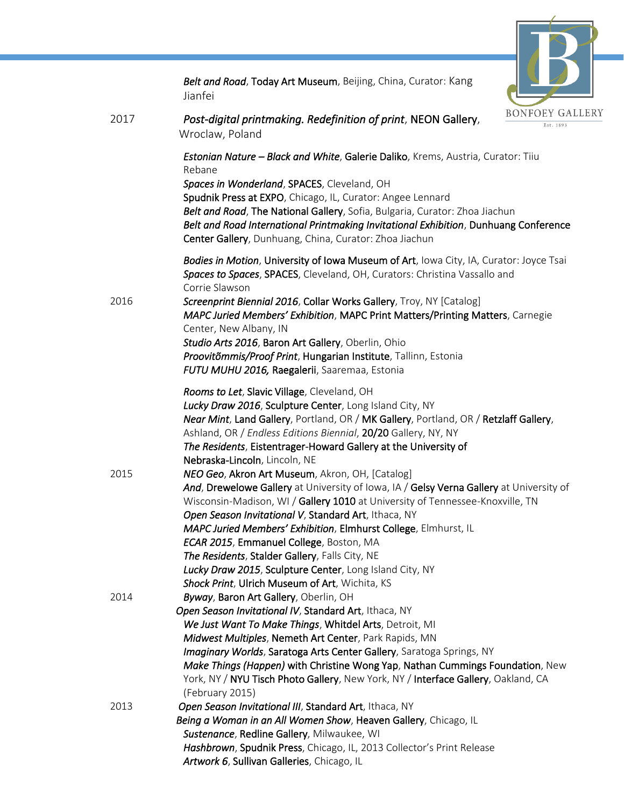

|      | Belt and Road, Today Art Museum, Beijing, China, Curator: Kang<br>Jianfei                                                                                                                                                                                                                                                                                                                                                                                                                                                                                                                                                                                                                                                                                                                                                                                                              |
|------|----------------------------------------------------------------------------------------------------------------------------------------------------------------------------------------------------------------------------------------------------------------------------------------------------------------------------------------------------------------------------------------------------------------------------------------------------------------------------------------------------------------------------------------------------------------------------------------------------------------------------------------------------------------------------------------------------------------------------------------------------------------------------------------------------------------------------------------------------------------------------------------|
| 2017 | <b>BONFOEY GA</b><br>Post-digital printmaking. Redefinition of print, NEON Gallery,<br>Est. 1893<br>Wroclaw, Poland                                                                                                                                                                                                                                                                                                                                                                                                                                                                                                                                                                                                                                                                                                                                                                    |
|      | Estonian Nature - Black and White, Galerie Daliko, Krems, Austria, Curator: Tiiu<br>Rebane<br>Spaces in Wonderland, SPACES, Cleveland, OH<br>Spudnik Press at EXPO, Chicago, IL, Curator: Angee Lennard<br>Belt and Road, The National Gallery, Sofia, Bulgaria, Curator: Zhoa Jiachun<br>Belt and Road International Printmaking Invitational Exhibition, Dunhuang Conference<br>Center Gallery, Dunhuang, China, Curator: Zhoa Jiachun                                                                                                                                                                                                                                                                                                                                                                                                                                               |
| 2016 | Bodies in Motion, University of Iowa Museum of Art, Iowa City, IA, Curator: Joyce Tsai<br>Spaces to Spaces, SPACES, Cleveland, OH, Curators: Christina Vassallo and<br>Corrie Slawson<br>Screenprint Biennial 2016, Collar Works Gallery, Troy, NY [Catalog]<br>MAPC Juried Members' Exhibition, MAPC Print Matters/Printing Matters, Carnegie<br>Center, New Albany, IN<br>Studio Arts 2016, Baron Art Gallery, Oberlin, Ohio<br>Proovitõmmis/Proof Print, Hungarian Institute, Tallinn, Estonia<br>FUTU MUHU 2016, Raegalerii, Saaremaa, Estonia                                                                                                                                                                                                                                                                                                                                     |
| 2015 | Rooms to Let, Slavic Village, Cleveland, OH<br>Lucky Draw 2016, Sculpture Center, Long Island City, NY<br>Near Mint, Land Gallery, Portland, OR / MK Gallery, Portland, OR / Retzlaff Gallery,<br>Ashland, OR / Endless Editions Biennial, 20/20 Gallery, NY, NY<br>The Residents, Eistentrager-Howard Gallery at the University of<br>Nebraska-Lincoln, Lincoln, NE<br>NEO Geo, Akron Art Museum, Akron, OH, [Catalog]<br>And, Drewelowe Gallery at University of Iowa, IA / Gelsy Verna Gallery at University of<br>Wisconsin-Madison, WI / Gallery 1010 at University of Tennessee-Knoxville, TN<br>Open Season Invitational V, Standard Art, Ithaca, NY<br>MAPC Juried Members' Exhibition, Elmhurst College, Elmhurst, IL<br>ECAR 2015, Emmanuel College, Boston, MA<br>The Residents, Stalder Gallery, Falls City, NE<br>Lucky Draw 2015, Sculpture Center, Long Island City, NY |
| 2014 | Shock Print, Ulrich Museum of Art, Wichita, KS<br>Byway, Baron Art Gallery, Oberlin, OH<br>Open Season Invitational IV, Standard Art, Ithaca, NY<br>We Just Want To Make Things, Whitdel Arts, Detroit, MI<br>Midwest Multiples, Nemeth Art Center, Park Rapids, MN<br>Imaginary Worlds, Saratoga Arts Center Gallery, Saratoga Springs, NY<br>Make Things (Happen) with Christine Wong Yap, Nathan Cummings Foundation, New<br>York, NY / NYU Tisch Photo Gallery, New York, NY / Interface Gallery, Oakland, CA                                                                                                                                                                                                                                                                                                                                                                      |
| 2013 | (February 2015)<br>Open Season Invitational III, Standard Art, Ithaca, NY<br>Being a Woman in an All Women Show, Heaven Gallery, Chicago, IL<br>Sustenance, Redline Gallery, Milwaukee, WI<br>Hashbrown, Spudnik Press, Chicago, IL, 2013 Collector's Print Release<br>Artwork 6, Sullivan Galleries, Chicago, IL                                                                                                                                                                                                                                                                                                                                                                                                                                                                                                                                                                      |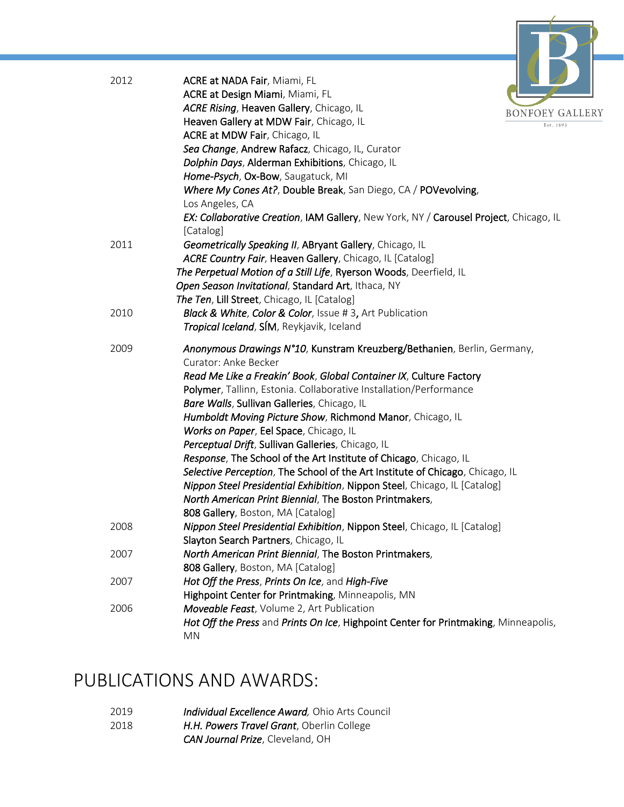

| 2012 | ACRE at NADA Fair, Miami, FL                                                          |  |
|------|---------------------------------------------------------------------------------------|--|
|      | ACRE at Design Miami, Miami, FL                                                       |  |
|      | ACRE Rising, Heaven Gallery, Chicago, IL<br><b>BONFOEY G</b>                          |  |
|      | Heaven Gallery at MDW Fair, Chicago, IL                                               |  |
|      | ACRE at MDW Fair, Chicago, IL                                                         |  |
|      | Sea Change, Andrew Rafacz, Chicago, IL, Curator                                       |  |
|      | Dolphin Days, Alderman Exhibitions, Chicago, IL                                       |  |
|      | Home-Psych, Ox-Bow, Saugatuck, MI                                                     |  |
|      | Where My Cones At?, Double Break, San Diego, CA / POVevolving,                        |  |
|      | Los Angeles, CA                                                                       |  |
|      | EX: Collaborative Creation, IAM Gallery, New York, NY / Carousel Project, Chicago, IL |  |
|      | [Catalog]                                                                             |  |
| 2011 | Geometrically Speaking II, ABryant Gallery, Chicago, IL                               |  |
|      | ACRE Country Fair, Heaven Gallery, Chicago, IL [Catalog]                              |  |
|      | The Perpetual Motion of a Still Life, Ryerson Woods, Deerfield, IL                    |  |
|      | Open Season Invitational, Standard Art, Ithaca, NY                                    |  |
|      | The Ten, Lill Street, Chicago, IL [Catalog]                                           |  |
| 2010 | <b>Black &amp; White, Color &amp; Color, Issue #3, Art Publication</b>                |  |
|      | Tropical Iceland, SÍM, Reykjavik, Iceland                                             |  |
|      |                                                                                       |  |
| 2009 | Anonymous Drawings N°10, Kunstram Kreuzberg/Bethanien, Berlin, Germany,               |  |
|      | Curator: Anke Becker                                                                  |  |
|      | Read Me Like a Freakin' Book, Global Container IX, Culture Factory                    |  |
|      | Polymer, Tallinn, Estonia. Collaborative Installation/Performance                     |  |
|      | Bare Walls, Sullivan Galleries, Chicago, IL                                           |  |
|      | Humboldt Moving Picture Show, Richmond Manor, Chicago, IL                             |  |
|      | Works on Paper, Eel Space, Chicago, IL                                                |  |
|      | Perceptual Drift, Sullivan Galleries, Chicago, IL                                     |  |
|      | Response, The School of the Art Institute of Chicago, Chicago, IL                     |  |
|      | Selective Perception, The School of the Art Institute of Chicago, Chicago, IL         |  |
|      | Nippon Steel Presidential Exhibition, Nippon Steel, Chicago, IL [Catalog]             |  |
|      | North American Print Biennial, The Boston Printmakers,                                |  |
|      | 808 Gallery, Boston, MA [Catalog]                                                     |  |
| 2008 | Nippon Steel Presidential Exhibition, Nippon Steel, Chicago, IL [Catalog]             |  |
|      | Slayton Search Partners, Chicago, IL                                                  |  |
| 2007 | North American Print Biennial, The Boston Printmakers,                                |  |
|      | 808 Gallery, Boston, MA [Catalog]                                                     |  |
| 2007 | Hot Off the Press, Prints On Ice, and High-Five                                       |  |
|      | Highpoint Center for Printmaking, Minneapolis, MN                                     |  |
| 2006 | Moveable Feast, Volume 2, Art Publication                                             |  |
|      | Hot Off the Press and Prints On Ice, Highpoint Center for Printmaking, Minneapolis,   |  |
|      | <b>MN</b>                                                                             |  |
|      |                                                                                       |  |

# PUBLICATIONS AND AWARDS:

- 2019 *Individual Excellence Award,* Ohio Arts Council
- 2018 *H.H. Powers Travel Grant*, Oberlin College
	- *CAN Journal Prize*, Cleveland, OH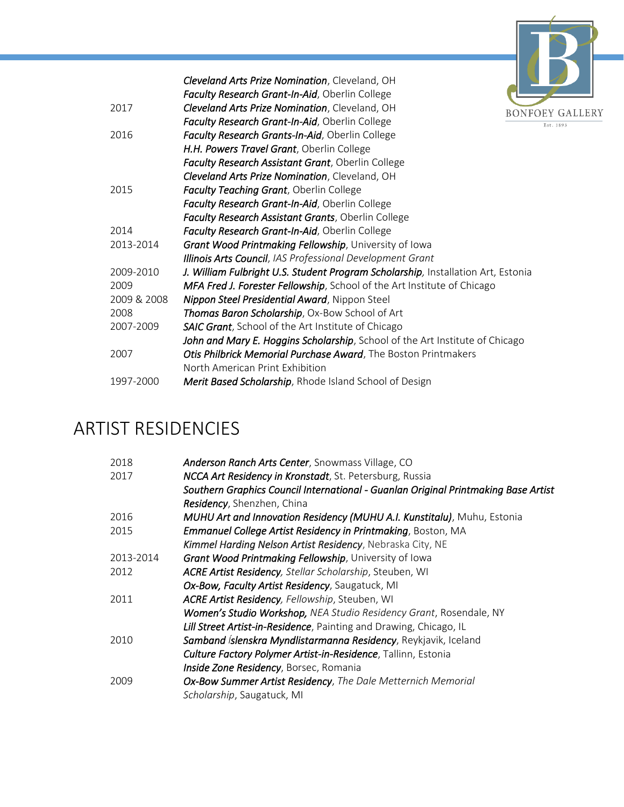

|             | Cleveland Arts Prize Nomination, Cleveland, OH                                   |  |
|-------------|----------------------------------------------------------------------------------|--|
|             | Faculty Research Grant-In-Aid, Oberlin College                                   |  |
| 2017        | Cleveland Arts Prize Nomination, Cleveland, OH<br><b>BONF</b>                    |  |
|             | Faculty Research Grant-In-Aid, Oberlin College                                   |  |
| 2016        | Faculty Research Grants-In-Aid, Oberlin College                                  |  |
|             | H.H. Powers Travel Grant, Oberlin College                                        |  |
|             | Faculty Research Assistant Grant, Oberlin College                                |  |
|             | Cleveland Arts Prize Nomination, Cleveland, OH                                   |  |
| 2015        | <b>Faculty Teaching Grant, Oberlin College</b>                                   |  |
|             | Faculty Research Grant-In-Aid, Oberlin College                                   |  |
|             | Faculty Research Assistant Grants, Oberlin College                               |  |
| 2014        | Faculty Research Grant-In-Aid, Oberlin College                                   |  |
| 2013-2014   | Grant Wood Printmaking Fellowship, University of Iowa                            |  |
|             | Illinois Arts Council, IAS Professional Development Grant                        |  |
| 2009-2010   | J. William Fulbright U.S. Student Program Scholarship, Installation Art, Estonia |  |
| 2009        | MFA Fred J. Forester Fellowship, School of the Art Institute of Chicago          |  |
| 2009 & 2008 | Nippon Steel Presidential Award, Nippon Steel                                    |  |
| 2008        | Thomas Baron Scholarship, Ox-Bow School of Art                                   |  |
| 2007-2009   | <b>SAIC Grant</b> , School of the Art Institute of Chicago                       |  |
|             | John and Mary E. Hoggins Scholarship, School of the Art Institute of Chicago     |  |
| 2007        | Otis Philbrick Memorial Purchase Award, The Boston Printmakers                   |  |
|             | North American Print Exhibition                                                  |  |
| 1997-2000   | Merit Based Scholarship, Rhode Island School of Design                           |  |
|             |                                                                                  |  |

# ARTIST RESIDENCIES

| 2018      | Anderson Ranch Arts Center, Snowmass Village, CO                                   |
|-----------|------------------------------------------------------------------------------------|
| 2017      | NCCA Art Residency in Kronstadt, St. Petersburg, Russia                            |
|           | Southern Graphics Council International - Guanlan Original Printmaking Base Artist |
|           | Residency, Shenzhen, China                                                         |
| 2016      | MUHU Art and Innovation Residency (MUHU A.I. Kunstitalu), Muhu, Estonia            |
| 2015      | <b>Emmanuel College Artist Residency in Printmaking, Boston, MA</b>                |
|           | Kimmel Harding Nelson Artist Residency, Nebraska City, NE                          |
| 2013-2014 | Grant Wood Printmaking Fellowship, University of Iowa                              |
| 2012      | ACRE Artist Residency, Stellar Scholarship, Steuben, WI                            |
|           | Ox-Bow, Faculty Artist Residency, Saugatuck, MI                                    |
| 2011      | ACRE Artist Residency, Fellowship, Steuben, WI                                     |
|           | Women's Studio Workshop, NEA Studio Residency Grant, Rosendale, NY                 |
|           | Lill Street Artist-in-Residence, Painting and Drawing, Chicago, IL                 |
| 2010      | Samband íslenskra Myndlistarmanna Residency, Reykjavik, Iceland                    |
|           | <b>Culture Factory Polymer Artist-in-Residence</b> , Tallinn, Estonia              |
|           | Inside Zone Residency, Borsec, Romania                                             |
| 2009      | Ox-Bow Summer Artist Residency, The Dale Metternich Memorial                       |
|           | Scholarship, Saugatuck, MI                                                         |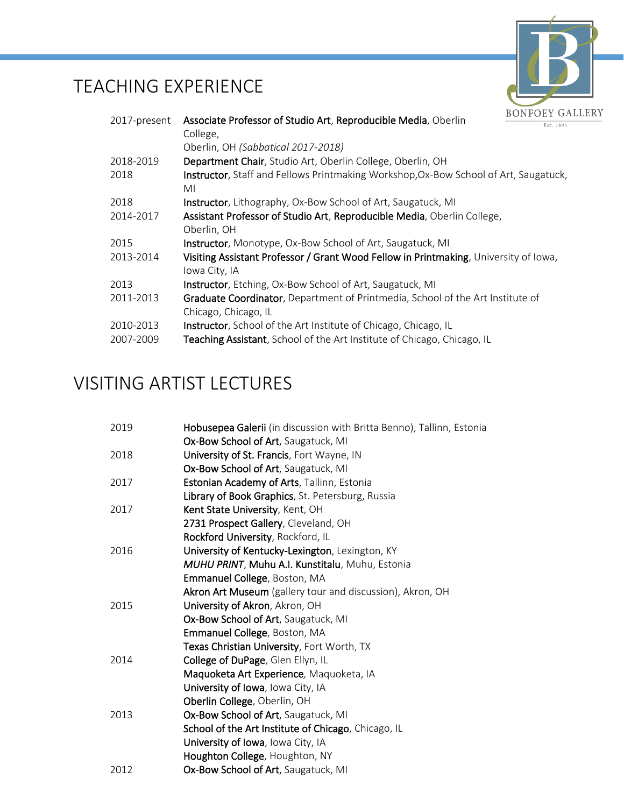# TEACHING EXPERIENCE



| 2017-present | Associate Professor of Studio Art, Reproducible Media, Oberlin                                         | Est. 1893 |
|--------------|--------------------------------------------------------------------------------------------------------|-----------|
|              | College,                                                                                               |           |
|              | Oberlin, OH (Sabbatical 2017-2018)                                                                     |           |
| 2018-2019    | Department Chair, Studio Art, Oberlin College, Oberlin, OH                                             |           |
| 2018         | Instructor, Staff and Fellows Printmaking Workshop, Ox-Bow School of Art, Saugatuck,<br>МI             |           |
| 2018         | <b>Instructor</b> , Lithography, Ox-Bow School of Art, Saugatuck, MI                                   |           |
| 2014-2017    | Assistant Professor of Studio Art, Reproducible Media, Oberlin College,<br>Oberlin, OH                 |           |
| 2015         | Instructor, Monotype, Ox-Bow School of Art, Saugatuck, MI                                              |           |
| 2013-2014    | Visiting Assistant Professor / Grant Wood Fellow in Printmaking, University of Iowa,<br>Iowa City, IA  |           |
| 2013         | <b>Instructor</b> , Etching, Ox-Bow School of Art, Saugatuck, MI                                       |           |
| 2011-2013    | Graduate Coordinator, Department of Printmedia, School of the Art Institute of<br>Chicago, Chicago, IL |           |
| 2010-2013    | Instructor, School of the Art Institute of Chicago, Chicago, IL                                        |           |
| 2007-2009    | Teaching Assistant, School of the Art Institute of Chicago, Chicago, IL                                |           |

# VISITING ARTIST LECTURES

| 2019 | Hobusepea Galerii (in discussion with Britta Benno), Tallinn, Estonia<br>Ox-Bow School of Art, Saugatuck, MI |
|------|--------------------------------------------------------------------------------------------------------------|
| 2018 | University of St. Francis, Fort Wayne, IN                                                                    |
|      | Ox-Bow School of Art, Saugatuck, MI                                                                          |
| 2017 | Estonian Academy of Arts, Tallinn, Estonia                                                                   |
|      | Library of Book Graphics, St. Petersburg, Russia                                                             |
| 2017 | Kent State University, Kent, OH                                                                              |
|      |                                                                                                              |
|      | 2731 Prospect Gallery, Cleveland, OH                                                                         |
|      | Rockford University, Rockford, IL                                                                            |
| 2016 | University of Kentucky-Lexington, Lexington, KY                                                              |
|      | MUHU PRINT, Muhu A.I. Kunstitalu, Muhu, Estonia                                                              |
|      | Emmanuel College, Boston, MA                                                                                 |
|      | Akron Art Museum (gallery tour and discussion), Akron, OH                                                    |
| 2015 | University of Akron, Akron, OH                                                                               |
|      | Ox-Bow School of Art, Saugatuck, MI                                                                          |
|      | Emmanuel College, Boston, MA                                                                                 |
|      | Texas Christian University, Fort Worth, TX                                                                   |
| 2014 | College of DuPage, Glen Ellyn, IL                                                                            |
|      | Maquoketa Art Experience, Maquoketa, IA                                                                      |
|      | University of Iowa, Iowa City, IA                                                                            |
|      | Oberlin College, Oberlin, OH                                                                                 |
| 2013 | Ox-Bow School of Art, Saugatuck, MI                                                                          |
|      | School of the Art Institute of Chicago, Chicago, IL                                                          |
|      | University of Iowa, Iowa City, IA                                                                            |
|      | Houghton College, Houghton, NY                                                                               |
| 2012 | Ox-Bow School of Art, Saugatuck, MI                                                                          |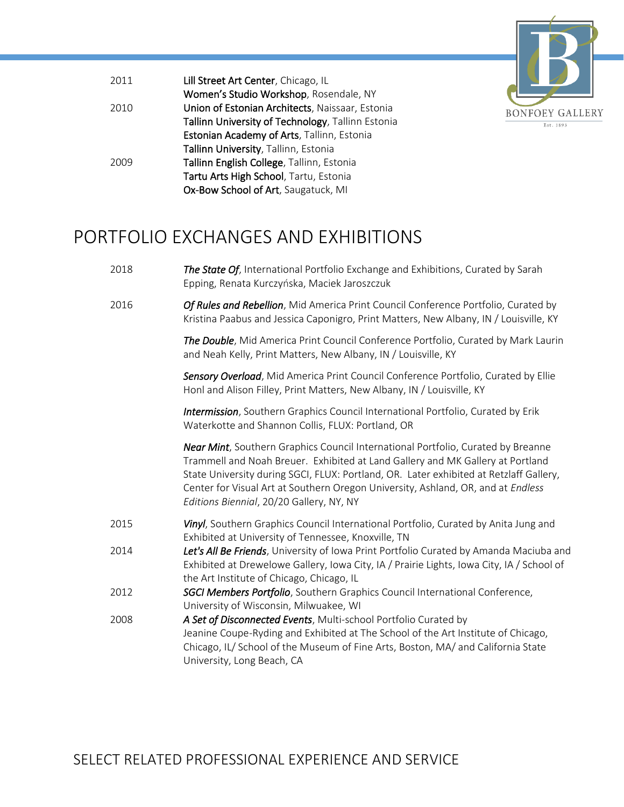

| 2011 | Lill Street Art Center, Chicago, IL               |
|------|---------------------------------------------------|
|      | Women's Studio Workshop, Rosendale, NY            |
| 2010 | Union of Estonian Architects, Naissaar, Estonia   |
|      | Tallinn University of Technology, Tallinn Estonia |
|      | Estonian Academy of Arts, Tallinn, Estonia        |
|      | Tallinn University, Tallinn, Estonia              |
| 2009 | Tallinn English College, Tallinn, Estonia         |
|      | Tartu Arts High School, Tartu, Estonia            |
|      | Ox-Bow School of Art, Saugatuck, MI               |

#### PORTFOLIO EXCHANGES AND EXHIBITIONS

- 2018 *The State Of*, International Portfolio Exchange and Exhibitions, Curated by Sarah Epping, Renata Kurczyńska, Maciek Jaroszczuk
- 2016 *Of Rules and Rebellion*, Mid America Print Council Conference Portfolio, Curated by Kristina Paabus and Jessica Caponigro, Print Matters, New Albany, IN / Louisville, KY

*The Double*, Mid America Print Council Conference Portfolio, Curated by Mark Laurin and Neah Kelly, Print Matters, New Albany, IN / Louisville, KY

*Sensory Overload*, Mid America Print Council Conference Portfolio, Curated by Ellie Honl and Alison Filley, Print Matters, New Albany, IN / Louisville, KY

*Intermission*, Southern Graphics Council International Portfolio, Curated by Erik Waterkotte and Shannon Collis, FLUX: Portland, OR

*Near Mint*, Southern Graphics Council International Portfolio, Curated by Breanne Trammell and Noah Breuer. Exhibited at Land Gallery and MK Gallery at Portland State University during SGCI, FLUX: Portland, OR. Later exhibited at Retzlaff Gallery, Center for Visual Art at Southern Oregon University, Ashland, OR, and at *Endless Editions Biennial*, 20/20 Gallery, NY, NY

- 2015 *Vinyl*, Southern Graphics Council International Portfolio, Curated by Anita Jung and Exhibited at University of Tennessee, Knoxville, TN
- 2014 *Let's All Be Friends*, University of Iowa Print Portfolio Curated by Amanda Maciuba and Exhibited at Drewelowe Gallery, Iowa City, IA / Prairie Lights, Iowa City, IA / School of the Art Institute of Chicago, Chicago, IL
- 2012 *SGCI Members Portfolio*, Southern Graphics Council International Conference, University of Wisconsin, Milwuakee, WI
- 2008 *A Set of Disconnected Events*, Multi-school Portfolio Curated by Jeanine Coupe-Ryding and Exhibited at The School of the Art Institute of Chicago, Chicago, IL/ School of the Museum of Fine Arts, Boston, MA/ and California State University, Long Beach, CA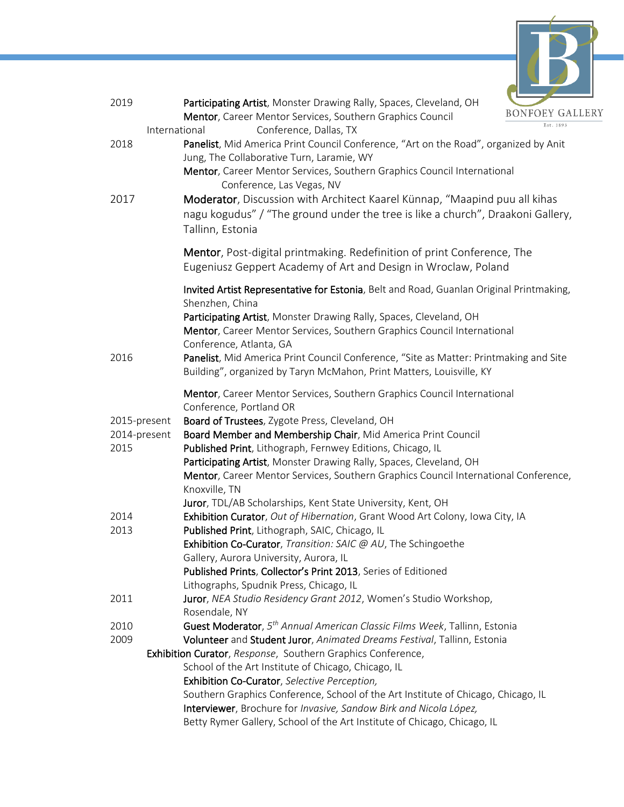

| 2019                 | Participating Artist, Monster Drawing Rally, Spaces, Cleveland, OH<br>Mentor, Career Mentor Services, Southern Graphics Council                                                                                                                                                                                                           | <b>BONFOEY GAI</b><br>Est. 1893 |
|----------------------|-------------------------------------------------------------------------------------------------------------------------------------------------------------------------------------------------------------------------------------------------------------------------------------------------------------------------------------------|---------------------------------|
| 2018                 | Conference, Dallas, TX<br>International<br>Panelist, Mid America Print Council Conference, "Art on the Road", organized by Anit                                                                                                                                                                                                           |                                 |
|                      | Jung, The Collaborative Turn, Laramie, WY<br>Mentor, Career Mentor Services, Southern Graphics Council International                                                                                                                                                                                                                      |                                 |
| 2017                 | Conference, Las Vegas, NV<br>Moderator, Discussion with Architect Kaarel Künnap, "Maapind puu all kihas<br>nagu kogudus" / "The ground under the tree is like a church", Draakoni Gallery,<br>Tallinn, Estonia                                                                                                                            |                                 |
|                      | <b>Mentor</b> , Post-digital printmaking. Redefinition of print Conference, The<br>Eugeniusz Geppert Academy of Art and Design in Wroclaw, Poland                                                                                                                                                                                         |                                 |
|                      | Invited Artist Representative for Estonia, Belt and Road, Guanlan Original Printmaking,<br>Shenzhen, China<br>Participating Artist, Monster Drawing Rally, Spaces, Cleveland, OH<br>Mentor, Career Mentor Services, Southern Graphics Council International                                                                               |                                 |
| 2016                 | Conference, Atlanta, GA<br>Panelist, Mid America Print Council Conference, "Site as Matter: Printmaking and Site<br>Building", organized by Taryn McMahon, Print Matters, Louisville, KY                                                                                                                                                  |                                 |
|                      | Mentor, Career Mentor Services, Southern Graphics Council International<br>Conference, Portland OR                                                                                                                                                                                                                                        |                                 |
| 2015-present         | Board of Trustees, Zygote Press, Cleveland, OH                                                                                                                                                                                                                                                                                            |                                 |
| 2014-present<br>2015 | Board Member and Membership Chair, Mid America Print Council<br>Published Print, Lithograph, Fernwey Editions, Chicago, IL<br>Participating Artist, Monster Drawing Rally, Spaces, Cleveland, OH<br>Mentor, Career Mentor Services, Southern Graphics Council International Conference,<br>Knoxville, TN                                  |                                 |
|                      | Juror, TDL/AB Scholarships, Kent State University, Kent, OH                                                                                                                                                                                                                                                                               |                                 |
| 2014<br>2013         | Exhibition Curator, Out of Hibernation, Grant Wood Art Colony, Iowa City, IA<br>Published Print, Lithograph, SAIC, Chicago, IL                                                                                                                                                                                                            |                                 |
|                      | Exhibition Co-Curator, Transition: SAIC @ AU, The Schingoethe<br>Gallery, Aurora University, Aurora, IL                                                                                                                                                                                                                                   |                                 |
|                      | Published Prints, Collector's Print 2013, Series of Editioned                                                                                                                                                                                                                                                                             |                                 |
| 2011                 | Lithographs, Spudnik Press, Chicago, IL<br>Juror, NEA Studio Residency Grant 2012, Women's Studio Workshop,<br>Rosendale, NY                                                                                                                                                                                                              |                                 |
| 2010<br>2009         | Guest Moderator, 5 <sup>th</sup> Annual American Classic Films Week, Tallinn, Estonia<br>Volunteer and Student Juror, Animated Dreams Festival, Tallinn, Estonia                                                                                                                                                                          |                                 |
|                      | Exhibition Curator, Response, Southern Graphics Conference,                                                                                                                                                                                                                                                                               |                                 |
|                      | School of the Art Institute of Chicago, Chicago, IL<br>Exhibition Co-Curator, Selective Perception,<br>Southern Graphics Conference, School of the Art Institute of Chicago, Chicago, IL<br>Interviewer, Brochure for Invasive, Sandow Birk and Nicola López,<br>Betty Rymer Gallery, School of the Art Institute of Chicago, Chicago, IL |                                 |
|                      |                                                                                                                                                                                                                                                                                                                                           |                                 |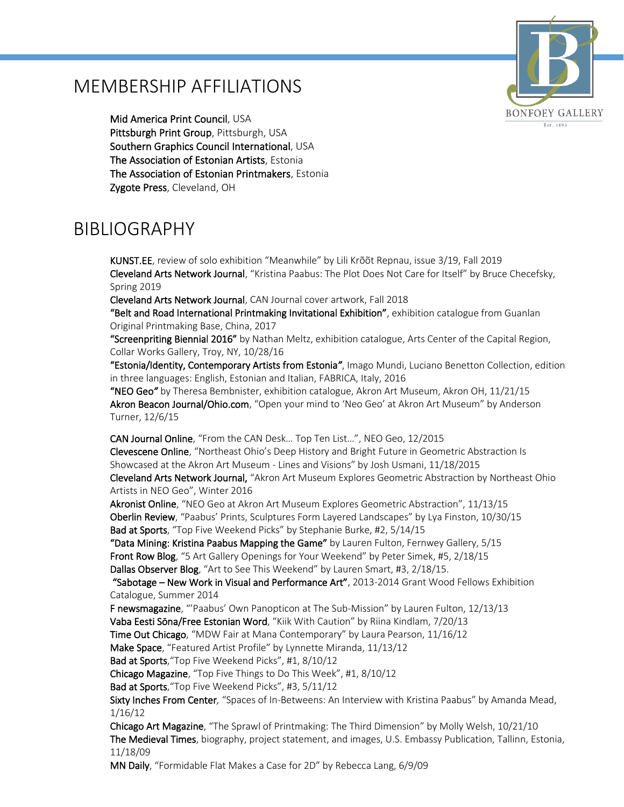#### MEMBERSHIP AFFILIATIONS



Mid America Print Council, USA Pittsburgh Print Group, Pittsburgh, USA Southern Graphics Council International, USA The Association of Estonian Artists, Estonia The Association of Estonian Printmakers, Estonia Zygote Press, Cleveland, OH

#### BIBLIOGRAPHY

KUNST.EE, review of solo exhibition "Meanwhile" by Lili Krõõt Repnau, issue 3/19, Fall 2019 Cleveland Arts Network Journal, "Kristina Paabus: The Plot Does Not Care for Itself" by Bruce Checefsky, Spring 2019

Cleveland Arts Network Journal, CAN Journal cover artwork, Fall 2018

"Belt and Road International Printmaking Invitational Exhibition", exhibition catalogue from Guanlan Original Printmaking Base, China, 2017

"Screenpriting Biennial 2016" by Nathan Meltz, exhibition catalogue, Arts Center of the Capital Region, Collar Works Gallery, Troy, NY, 10/28/16

"Estonia/Identity, Contemporary Artists from Estonia*"*, Imago Mundi, Luciano Benetton Collection, edition in three languages: English, Estonian and Italian, FABRICA, Italy, 2016

"NEO Geo*"* by Theresa Bembnister, exhibition catalogue, Akron Art Museum, Akron OH, 11/21/15 Akron Beacon Journal/Ohio.com, "Open your mind to 'Neo Geo' at Akron Art Museum" by Anderson Turner, 12/6/15

CAN Journal Online, "From the CAN Desk… Top Ten List…", NEO Geo, 12/2015 Clevescene Online, "Northeast Ohio's Deep History and Bright Future in Geometric Abstraction Is Showcased at the Akron Art Museum - Lines and Visions" by Josh Usmani, 11/18/2015

Cleveland Arts Network Journal, "Akron Art Museum Explores Geometric Abstraction by Northeast Ohio Artists in NEO Geo", Winter 2016

Akronist Online, "NEO Geo at Akron Art Museum Explores Geometric Abstraction", 11/13/15 Oberlin Review, "Paabus' Prints, Sculptures Form Layered Landscapes" by Lya Finston, 10/30/15 Bad at Sports, "Top Five Weekend Picks" by Stephanie Burke, #2, 5/14/15

"Data Mining: Kristina Paabus Mapping the Game" by Lauren Fulton, Fernwey Gallery, 5/15 Front Row Blog, "5 Art Gallery Openings for Your Weekend" by Peter Simek, #5, 2/18/15 Dallas Observer Blog, "Art to See This Weekend" by Lauren Smart, #3, 2/18/15.

 "Sabotage – New Work in Visual and Performance Art", 2013-2014 Grant Wood Fellows Exhibition Catalogue, Summer 2014

F newsmagazine, "'Paabus' Own Panopticon at The Sub-Mission" by Lauren Fulton, 12/13/13

Vaba Eesti Sōna/Free Estonian Word, "Kiik With Caution" by Riina Kindlam, 7/20/13

Time Out Chicago, "MDW Fair at Mana Contemporary" by Laura Pearson, 11/16/12

Make Space, "Featured Artist Profile" by Lynnette Miranda, 11/13/12

Bad at Sports, "Top Five Weekend Picks", #1, 8/10/12

Chicago Magazine, "Top Five Things to Do This Week", #1, 8/10/12

Bad at Sports, "Top Five Weekend Picks", #3, 5/11/12

Sixty Inches From Center*,* "Spaces of In-Betweens: An Interview with Kristina Paabus" by Amanda Mead, 1/16/12

Chicago Art Magazine, "The Sprawl of Printmaking: The Third Dimension" by Molly Welsh, 10/21/10 The Medieval Times, biography, project statement, and images, U.S. Embassy Publication, Tallinn, Estonia, 11/18/09

MN Daily, "Formidable Flat Makes a Case for 2D" by Rebecca Lang, 6/9/09